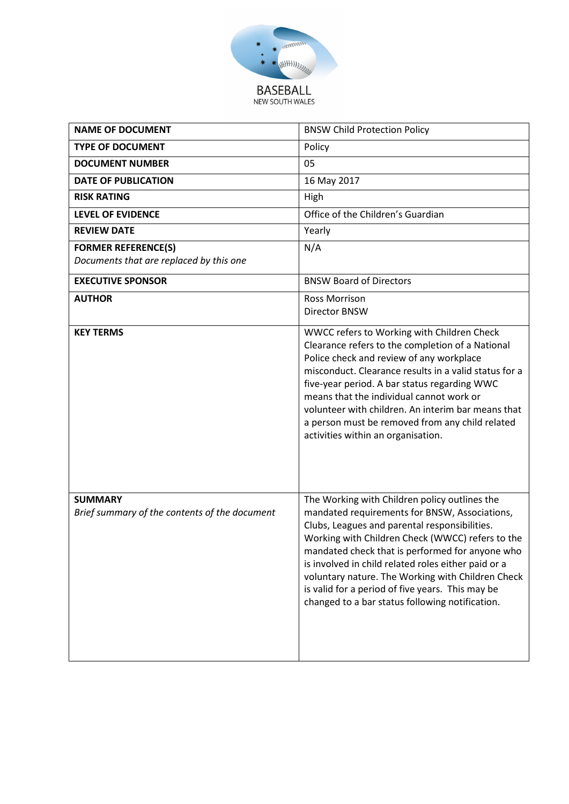

| <b>NAME OF DOCUMENT</b>                                               | <b>BNSW Child Protection Policy</b>                                                                                                                                                                                                                                                                                                                                                                                                                                       |
|-----------------------------------------------------------------------|---------------------------------------------------------------------------------------------------------------------------------------------------------------------------------------------------------------------------------------------------------------------------------------------------------------------------------------------------------------------------------------------------------------------------------------------------------------------------|
| <b>TYPE OF DOCUMENT</b>                                               | Policy                                                                                                                                                                                                                                                                                                                                                                                                                                                                    |
| <b>DOCUMENT NUMBER</b>                                                | 05                                                                                                                                                                                                                                                                                                                                                                                                                                                                        |
| <b>DATE OF PUBLICATION</b>                                            | 16 May 2017                                                                                                                                                                                                                                                                                                                                                                                                                                                               |
| <b>RISK RATING</b>                                                    | High                                                                                                                                                                                                                                                                                                                                                                                                                                                                      |
| <b>LEVEL OF EVIDENCE</b>                                              | Office of the Children's Guardian                                                                                                                                                                                                                                                                                                                                                                                                                                         |
| <b>REVIEW DATE</b>                                                    | Yearly                                                                                                                                                                                                                                                                                                                                                                                                                                                                    |
| <b>FORMER REFERENCE(S)</b><br>Documents that are replaced by this one | N/A                                                                                                                                                                                                                                                                                                                                                                                                                                                                       |
| <b>EXECUTIVE SPONSOR</b>                                              | <b>BNSW Board of Directors</b>                                                                                                                                                                                                                                                                                                                                                                                                                                            |
| <b>AUTHOR</b>                                                         | <b>Ross Morrison</b><br><b>Director BNSW</b>                                                                                                                                                                                                                                                                                                                                                                                                                              |
| <b>KEY TERMS</b>                                                      | WWCC refers to Working with Children Check<br>Clearance refers to the completion of a National<br>Police check and review of any workplace<br>misconduct. Clearance results in a valid status for a<br>five-year period. A bar status regarding WWC<br>means that the individual cannot work or<br>volunteer with children. An interim bar means that<br>a person must be removed from any child related<br>activities within an organisation.                            |
| <b>SUMMARY</b><br>Brief summary of the contents of the document       | The Working with Children policy outlines the<br>mandated requirements for BNSW, Associations,<br>Clubs, Leagues and parental responsibilities.<br>Working with Children Check (WWCC) refers to the<br>mandated check that is performed for anyone who<br>is involved in child related roles either paid or a<br>voluntary nature. The Working with Children Check<br>is valid for a period of five years. This may be<br>changed to a bar status following notification. |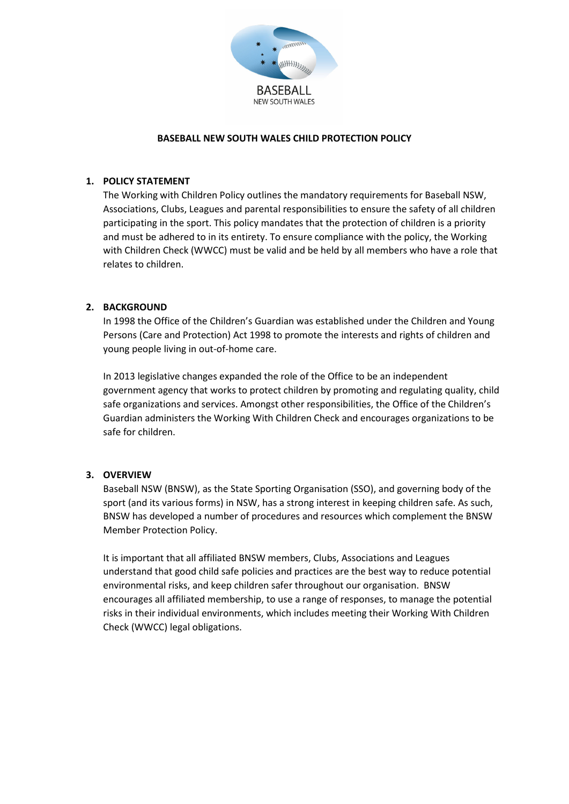

#### **BASEBALL NEW SOUTH WALES CHILD PROTECTION POLICY**

#### **1. POLICY STATEMENT**

The Working with Children Policy outlines the mandatory requirements for Baseball NSW, Associations, Clubs, Leagues and parental responsibilities to ensure the safety of all children participating in the sport. This policy mandates that the protection of children is a priority and must be adhered to in its entirety. To ensure compliance with the policy, the Working with Children Check (WWCC) must be valid and be held by all members who have a role that relates to children.

## **2. BACKGROUND**

In 1998 the Office of the Children's Guardian was established under the Children and Young Persons (Care and Protection) Act 1998 to promote the interests and rights of children and young people living in out-of-home care.

In 2013 legislative changes expanded the role of the Office to be an independent government agency that works to protect children by promoting and regulating quality, child safe organizations and services. Amongst other responsibilities, the Office of the Children's Guardian administers the Working With Children Check and encourages organizations to be safe for children.

## **3. OVERVIEW**

Baseball NSW (BNSW), as the State Sporting Organisation (SSO), and governing body of the sport (and its various forms) in NSW, has a strong interest in keeping children safe. As such, BNSW has developed a number of procedures and resources which complement the BNSW Member Protection Policy.

It is important that all affiliated BNSW members, Clubs, Associations and Leagues understand that good child safe policies and practices are the best way to reduce potential environmental risks, and keep children safer throughout our organisation. BNSW encourages all affiliated membership, to use a range of responses, to manage the potential risks in their individual environments, which includes meeting their Working With Children Check (WWCC) legal obligations.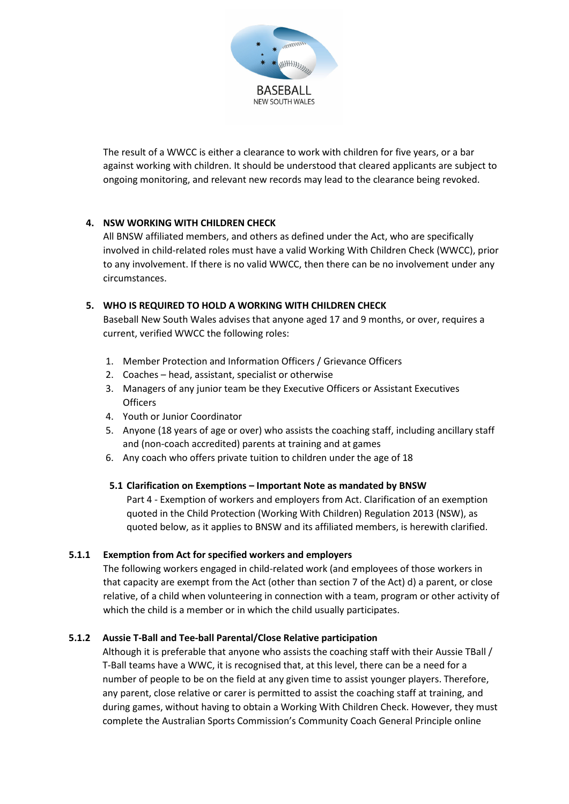

The result of a WWCC is either a clearance to work with children for five years, or a bar against working with children. It should be understood that cleared applicants are subject to ongoing monitoring, and relevant new records may lead to the clearance being revoked.

# **4. NSW WORKING WITH CHILDREN CHECK**

All BNSW affiliated members, and others as defined under the Act, who are specifically involved in child-related roles must have a valid Working With Children Check (WWCC), prior to any involvement. If there is no valid WWCC, then there can be no involvement under any circumstances.

# **5. WHO IS REQUIRED TO HOLD A WORKING WITH CHILDREN CHECK**

Baseball New South Wales advises that anyone aged 17 and 9 months, or over, requires a current, verified WWCC the following roles:

- 1. Member Protection and Information Officers / Grievance Officers
- 2. Coaches head, assistant, specialist or otherwise
- 3. Managers of any junior team be they Executive Officers or Assistant Executives **Officers**
- 4. Youth or Junior Coordinator
- 5. Anyone (18 years of age or over) who assists the coaching staff, including ancillary staff and (non-coach accredited) parents at training and at games
- 6. Any coach who offers private tuition to children under the age of 18

## **5.1 Clarification on Exemptions – Important Note as mandated by BNSW**

Part 4 - Exemption of workers and employers from Act. Clarification of an exemption quoted in the Child Protection (Working With Children) Regulation 2013 (NSW), as quoted below, as it applies to BNSW and its affiliated members, is herewith clarified.

## **5.1.1 Exemption from Act for specified workers and employers**

The following workers engaged in child-related work (and employees of those workers in that capacity are exempt from the Act (other than section 7 of the Act) d) a parent, or close relative, of a child when volunteering in connection with a team, program or other activity of which the child is a member or in which the child usually participates.

## **5.1.2 Aussie T-Ball and Tee-ball Parental/Close Relative participation**

Although it is preferable that anyone who assists the coaching staff with their Aussie TBall / T-Ball teams have a WWC, it is recognised that, at this level, there can be a need for a number of people to be on the field at any given time to assist younger players. Therefore, any parent, close relative or carer is permitted to assist the coaching staff at training, and during games, without having to obtain a Working With Children Check. However, they must complete the Australian Sports Commission's Community Coach General Principle online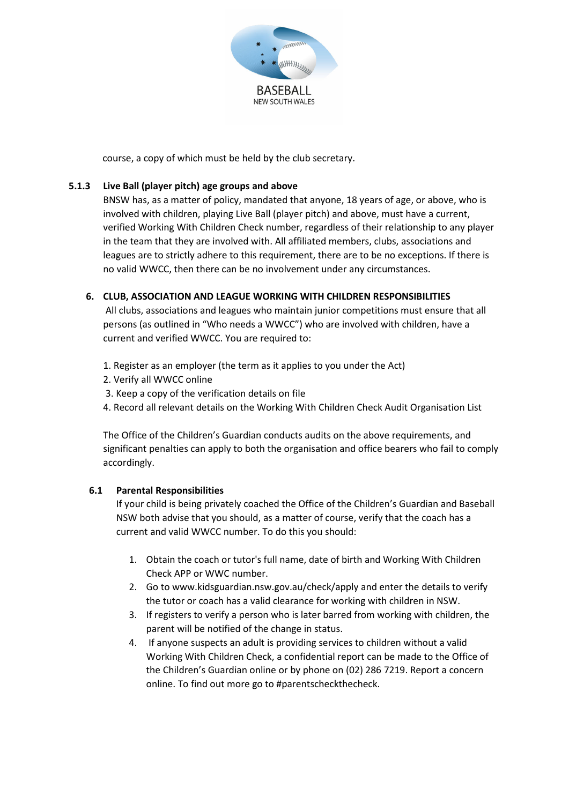

course, a copy of which must be held by the club secretary.

## **5.1.3 Live Ball (player pitch) age groups and above**

BNSW has, as a matter of policy, mandated that anyone, 18 years of age, or above, who is involved with children, playing Live Ball (player pitch) and above, must have a current, verified Working With Children Check number, regardless of their relationship to any player in the team that they are involved with. All affiliated members, clubs, associations and leagues are to strictly adhere to this requirement, there are to be no exceptions. If there is no valid WWCC, then there can be no involvement under any circumstances.

## **6. CLUB, ASSOCIATION AND LEAGUE WORKING WITH CHILDREN RESPONSIBILITIES**

All clubs, associations and leagues who maintain junior competitions must ensure that all persons (as outlined in "Who needs a WWCC") who are involved with children, have a current and verified WWCC. You are required to:

- 1. Register as an employer (the term as it applies to you under the Act)
- 2. Verify all WWCC online
- 3. Keep a copy of the verification details on file
- 4. Record all relevant details on the Working With Children Check Audit Organisation List

The Office of the Children's Guardian conducts audits on the above requirements, and significant penalties can apply to both the organisation and office bearers who fail to comply accordingly.

## **6.1 Parental Responsibilities**

If your child is being privately coached the Office of the Children's Guardian and Baseball NSW both advise that you should, as a matter of course, verify that the coach has a current and valid WWCC number. To do this you should:

- 1. Obtain the coach or tutor's full name, date of birth and Working With Children Check APP or WWC number.
- 2. Go to www.kidsguardian.nsw.gov.au/check/apply and enter the details to verify the tutor or coach has a valid clearance for working with children in NSW.
- 3. If registers to verify a person who is later barred from working with children, the parent will be notified of the change in status.
- 4. If anyone suspects an adult is providing services to children without a valid Working With Children Check, a confidential report can be made to the Office of the Children's Guardian online or by phone on (02) 286 7219. Report a concern online. To find out more go to #parentscheckthecheck.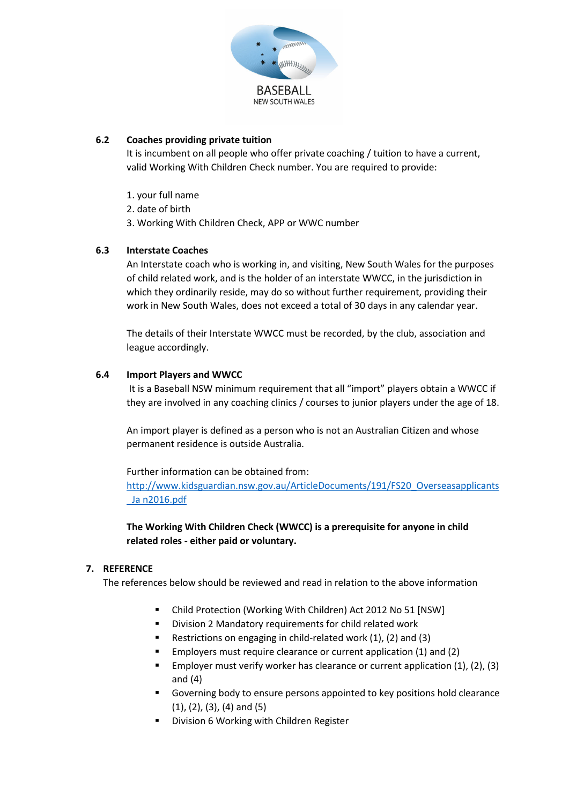

## **6.2 Coaches providing private tuition**

It is incumbent on all people who offer private coaching / tuition to have a current, valid Working With Children Check number. You are required to provide:

- 1. your full name
- 2. date of birth
- 3. Working With Children Check, APP or WWC number

#### **6.3 Interstate Coaches**

An Interstate coach who is working in, and visiting, New South Wales for the purposes of child related work, and is the holder of an interstate WWCC, in the jurisdiction in which they ordinarily reside, may do so without further requirement, providing their work in New South Wales, does not exceed a total of 30 days in any calendar year.

The details of their Interstate WWCC must be recorded, by the club, association and league accordingly.

#### **6.4 Import Players and WWCC**

It is a Baseball NSW minimum requirement that all "import" players obtain a WWCC if they are involved in any coaching clinics / courses to junior players under the age of 18.

An import player is defined as a person who is not an Australian Citizen and whose permanent residence is outside Australia.

#### Further information can be obtained from:

[http://www.kidsguardian.nsw.gov.au/ArticleDocuments/191/FS20\\_Overseasapplicants](http://www.kidsguardian.nsw.gov.au/ArticleDocuments/191/FS20_Overseasapplicants_Ja%20n2016.pdf) Ja n2016.pdf

**The Working With Children Check (WWCC) is a prerequisite for anyone in child related roles - either paid or voluntary.** 

#### **7. REFERENCE**

The references below should be reviewed and read in relation to the above information

- Child Protection (Working With Children) Act 2012 No 51 [NSW]
- **Division 2 Mandatory requirements for child related work**
- Restrictions on engaging in child-related work (1), (2) and (3)
- Employers must require clearance or current application (1) and (2)
- Employer must verify worker has clearance or current application (1), (2), (3) and (4)
- Governing body to ensure persons appointed to key positions hold clearance (1), (2), (3), (4) and (5)
- **Division 6 Working with Children Register**